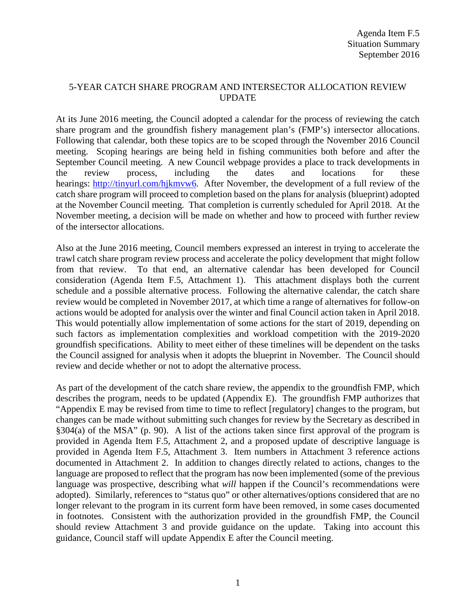## 5-YEAR CATCH SHARE PROGRAM AND INTERSECTOR ALLOCATION REVIEW UPDATE

At its June 2016 meeting, the Council adopted a calendar for the process of reviewing the catch share program and the groundfish fishery management plan's (FMP's) intersector allocations. Following that calendar, both these topics are to be scoped through the November 2016 Council meeting. Scoping hearings are being held in fishing communities both before and after the September Council meeting. A new Council webpage provides a place to track developments in the review process, including the dates and locations for these hearings: [http://tinyurl.com/hjkmvw6.](http://tinyurl.com/hjkmvw6) After November, the development of a full review of the catch share program will proceed to completion based on the plans for analysis (blueprint) adopted at the November Council meeting. That completion is currently scheduled for April 2018. At the November meeting, a decision will be made on whether and how to proceed with further review of the intersector allocations.

Also at the June 2016 meeting, Council members expressed an interest in trying to accelerate the trawl catch share program review process and accelerate the policy development that might follow from that review. To that end, an alternative calendar has been developed for Council consideration (Agenda Item F.5, Attachment 1). This attachment displays both the current schedule and a possible alternative process. Following the alternative calendar, the catch share review would be completed in November 2017, at which time a range of alternatives for follow-on actions would be adopted for analysis over the winter and final Council action taken in April 2018. This would potentially allow implementation of some actions for the start of 2019, depending on such factors as implementation complexities and workload competition with the 2019-2020 groundfish specifications. Ability to meet either of these timelines will be dependent on the tasks the Council assigned for analysis when it adopts the blueprint in November. The Council should review and decide whether or not to adopt the alternative process.

As part of the development of the catch share review, the appendix to the groundfish FMP, which describes the program, needs to be updated (Appendix E). The groundfish FMP authorizes that "Appendix E may be revised from time to time to reflect [regulatory] changes to the program, but changes can be made without submitting such changes for review by the Secretary as described in §304(a) of the MSA" (p. 90). A list of the actions taken since first approval of the program is provided in Agenda Item F.5, Attachment 2, and a proposed update of descriptive language is provided in Agenda Item F.5, Attachment 3. Item numbers in Attachment 3 reference actions documented in Attachment 2. In addition to changes directly related to actions, changes to the language are proposed to reflect that the program has now been implemented (some of the previous language was prospective, describing what *will* happen if the Council's recommendations were adopted). Similarly, references to "status quo" or other alternatives/options considered that are no longer relevant to the program in its current form have been removed, in some cases documented in footnotes. Consistent with the authorization provided in the groundfish FMP, the Council should review Attachment 3 and provide guidance on the update. Taking into account this guidance, Council staff will update Appendix E after the Council meeting.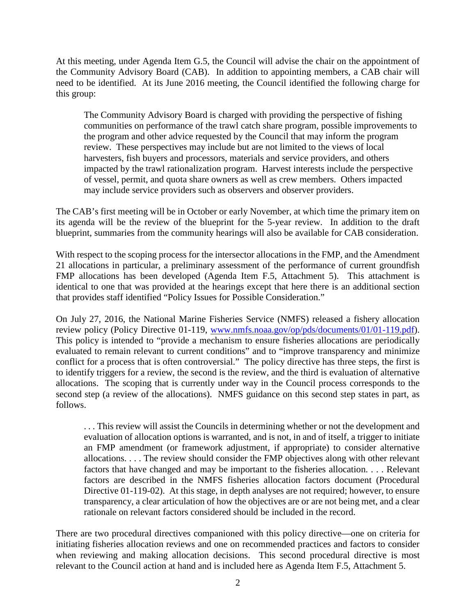At this meeting, under Agenda Item G.5, the Council will advise the chair on the appointment of the Community Advisory Board (CAB). In addition to appointing members, a CAB chair will need to be identified. At its June 2016 meeting, the Council identified the following charge for this group:

The Community Advisory Board is charged with providing the perspective of fishing communities on performance of the trawl catch share program, possible improvements to the program and other advice requested by the Council that may inform the program review. These perspectives may include but are not limited to the views of local harvesters, fish buyers and processors, materials and service providers, and others impacted by the trawl rationalization program. Harvest interests include the perspective of vessel, permit, and quota share owners as well as crew members. Others impacted may include service providers such as observers and observer providers.

The CAB's first meeting will be in October or early November, at which time the primary item on its agenda will be the review of the blueprint for the 5-year review. In addition to the draft blueprint, summaries from the community hearings will also be available for CAB consideration.

With respect to the scoping process for the intersector allocations in the FMP, and the Amendment 21 allocations in particular, a preliminary assessment of the performance of current groundfish FMP allocations has been developed (Agenda Item F.5, Attachment 5). This attachment is identical to one that was provided at the hearings except that here there is an additional section that provides staff identified "Policy Issues for Possible Consideration."

On July 27, 2016, the National Marine Fisheries Service (NMFS) released a fishery allocation review policy (Policy Directive 01-119, [www.nmfs.noaa.gov/op/pds/documents/01/01-119.pdf\)](http://www.nmfs.noaa.gov/op/pds/documents/01/01-119.pdf). This policy is intended to "provide a mechanism to ensure fisheries allocations are periodically evaluated to remain relevant to current conditions" and to "improve transparency and minimize conflict for a process that is often controversial." The policy directive has three steps, the first is to identify triggers for a review, the second is the review, and the third is evaluation of alternative allocations. The scoping that is currently under way in the Council process corresponds to the second step (a review of the allocations). NMFS guidance on this second step states in part, as follows.

. . . This review will assist the Councils in determining whether or not the development and evaluation of allocation options is warranted, and is not, in and of itself, a trigger to initiate an FMP amendment (or framework adjustment, if appropriate) to consider alternative allocations. . . . The review should consider the FMP objectives along with other relevant factors that have changed and may be important to the fisheries allocation. . . . Relevant factors are described in the NMFS fisheries allocation factors document (Procedural Directive 01-119-02). At this stage, in depth analyses are not required; however, to ensure transparency, a clear articulation of how the objectives are or are not being met, and a clear rationale on relevant factors considered should be included in the record.

There are two procedural directives companioned with this policy directive—one on criteria for initiating fisheries allocation reviews and one on recommended practices and factors to consider when reviewing and making allocation decisions. This second procedural directive is most relevant to the Council action at hand and is included here as Agenda Item F.5, Attachment 5.